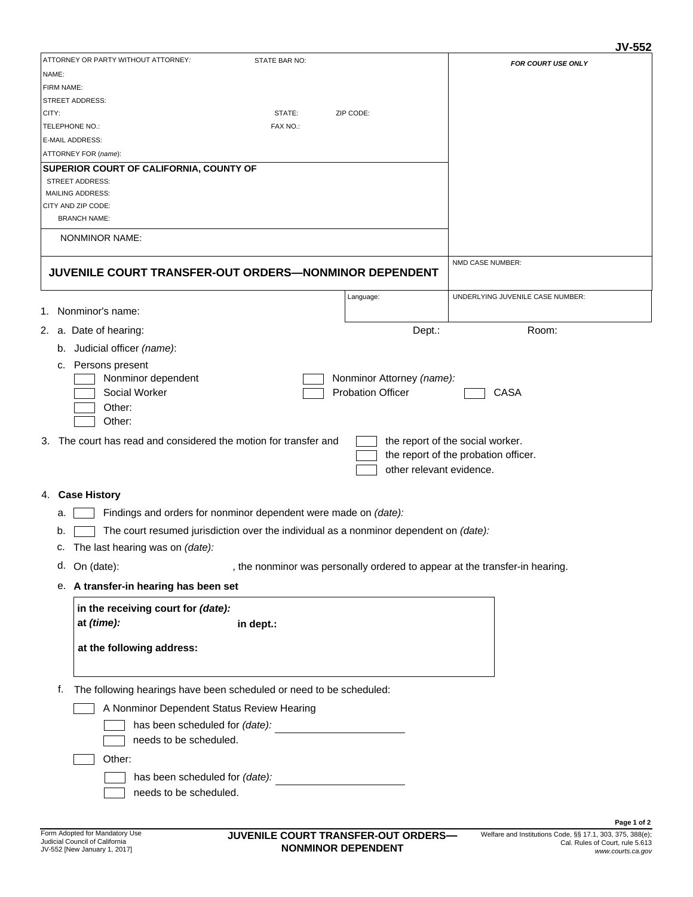## **JV-552**

|                                                                                              |                                                       | JV-552                                                                      |
|----------------------------------------------------------------------------------------------|-------------------------------------------------------|-----------------------------------------------------------------------------|
| ATTORNEY OR PARTY WITHOUT ATTORNEY:<br>STATE BAR NO:                                         |                                                       | <b>FOR COURT USE ONLY</b>                                                   |
| NAME:                                                                                        |                                                       |                                                                             |
| <b>FIRM NAME:</b><br><b>STREET ADDRESS:</b>                                                  |                                                       |                                                                             |
| STATE:<br>CITY:                                                                              | ZIP CODE:                                             |                                                                             |
| TELEPHONE NO.:<br>FAX NO.:                                                                   |                                                       |                                                                             |
| E-MAIL ADDRESS:                                                                              |                                                       |                                                                             |
| ATTORNEY FOR (name):                                                                         |                                                       |                                                                             |
| <b>SUPERIOR COURT OF CALIFORNIA, COUNTY OF</b>                                               |                                                       |                                                                             |
| <b>STREET ADDRESS:</b>                                                                       |                                                       |                                                                             |
| <b>MAILING ADDRESS:</b>                                                                      |                                                       |                                                                             |
| CITY AND ZIP CODE:<br><b>BRANCH NAME:</b>                                                    |                                                       |                                                                             |
| NONMINOR NAME:                                                                               |                                                       |                                                                             |
|                                                                                              |                                                       |                                                                             |
| JUVENILE COURT TRANSFER-OUT ORDERS-NONMINOR DEPENDENT                                        |                                                       | NMD CASE NUMBER:                                                            |
|                                                                                              | Language:                                             | UNDERLYING JUVENILE CASE NUMBER:                                            |
| 1. Nonminor's name:                                                                          |                                                       |                                                                             |
| 2. a. Date of hearing:                                                                       | Dept.:                                                | Room:                                                                       |
| Judicial officer (name):<br>b.                                                               |                                                       |                                                                             |
| Persons present<br>c.                                                                        |                                                       |                                                                             |
| Nonminor dependent<br>Social Worker                                                          | Nonminor Attorney (name):<br><b>Probation Officer</b> | CASA                                                                        |
| Other:                                                                                       |                                                       |                                                                             |
| Other:                                                                                       |                                                       |                                                                             |
| 3. The court has read and considered the motion for transfer and                             |                                                       | the report of the social worker.                                            |
|                                                                                              |                                                       | the report of the probation officer.                                        |
|                                                                                              | other relevant evidence.                              |                                                                             |
| 4. Case History                                                                              |                                                       |                                                                             |
|                                                                                              |                                                       |                                                                             |
| Findings and orders for nonminor dependent were made on (date):<br>а.                        |                                                       |                                                                             |
| The court resumed jurisdiction over the individual as a nonminor dependent on (date):<br>b.  |                                                       |                                                                             |
| The last hearing was on (date):<br>c.                                                        |                                                       |                                                                             |
| d. On (date):                                                                                |                                                       | , the nonminor was personally ordered to appear at the transfer-in hearing. |
| A transfer-in hearing has been set<br>е.                                                     |                                                       |                                                                             |
| in the receiving court for (date):                                                           |                                                       |                                                                             |
| at (time):<br>in dept.:                                                                      |                                                       |                                                                             |
| at the following address:                                                                    |                                                       |                                                                             |
|                                                                                              |                                                       |                                                                             |
| The following hearings have been scheduled or need to be scheduled:<br>f.                    |                                                       |                                                                             |
| A Nonminor Dependent Status Review Hearing                                                   |                                                       |                                                                             |
| has been scheduled for (date):                                                               |                                                       |                                                                             |
| needs to be scheduled.                                                                       |                                                       |                                                                             |
| Other:                                                                                       |                                                       |                                                                             |
| has been scheduled for (date):<br><u>and the community of the community of the community</u> |                                                       |                                                                             |
| needs to be scheduled.                                                                       |                                                       |                                                                             |
|                                                                                              |                                                       |                                                                             |
|                                                                                              |                                                       | Page 1 of 2                                                                 |